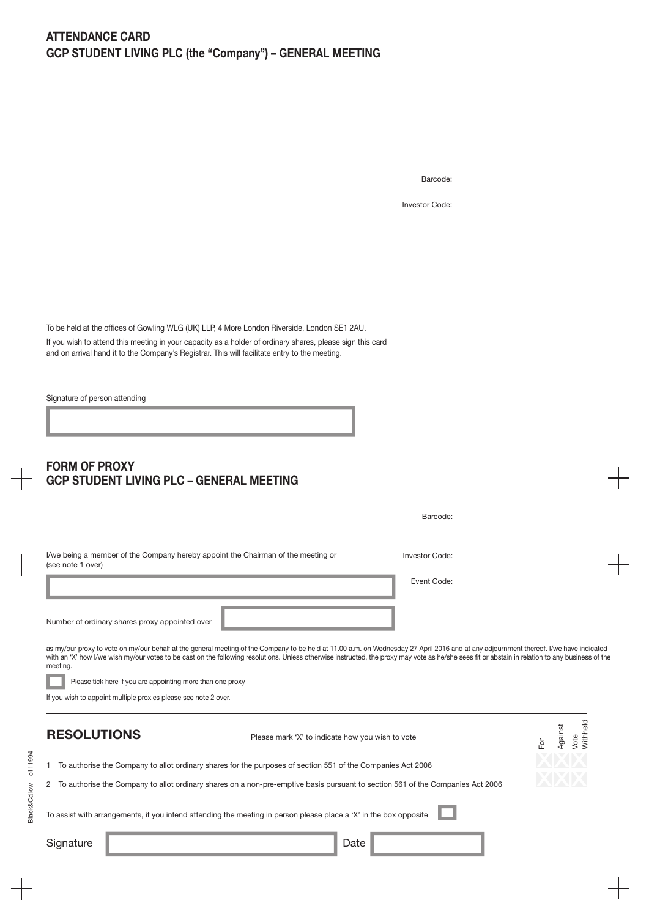Barcode:

Investor Code:

To be held at the offices of Gowling WLG (UK) LLP, 4 More London Riverside, London SE1 2AU. If you wish to attend this meeting in your capacity as a holder of ordinary shares, please sign this card and on arrival hand it to the Company's Registrar. This will facilitate entry to the meeting.

Signature of person attending

|                        | <b>FORM OF PROXY</b><br><b>GCP STUDENT LIVING PLC - GENERAL MEETING</b>                                                                                                                                                                                                                                                                                                                                |                                    |
|------------------------|--------------------------------------------------------------------------------------------------------------------------------------------------------------------------------------------------------------------------------------------------------------------------------------------------------------------------------------------------------------------------------------------------------|------------------------------------|
|                        | Barcode:                                                                                                                                                                                                                                                                                                                                                                                               |                                    |
|                        | I/we being a member of the Company hereby appoint the Chairman of the meeting or<br><b>Investor Code:</b><br>(see note 1 over)                                                                                                                                                                                                                                                                         |                                    |
|                        | Event Code:                                                                                                                                                                                                                                                                                                                                                                                            |                                    |
|                        | Number of ordinary shares proxy appointed over                                                                                                                                                                                                                                                                                                                                                         |                                    |
|                        | as my/our proxy to vote on my/our behalf at the general meeting of the Company to be held at 11.00 a.m. on Wednesday 27 April 2016 and at any adjournment thereof. I/we have indicated<br>with an 'X' how I/we wish my/our votes to be cast on the following resolutions. Unless otherwise instructed, the proxy may vote as he/she sees fit or abstain in relation to any business of the<br>meeting. |                                    |
|                        | Please tick here if you are appointing more than one proxy                                                                                                                                                                                                                                                                                                                                             |                                    |
|                        | If you wish to appoint multiple proxies please see note 2 over.                                                                                                                                                                                                                                                                                                                                        |                                    |
|                        | <b>RESOLUTIONS</b><br>Please mark 'X' to indicate how you wish to vote<br>For                                                                                                                                                                                                                                                                                                                          | <b>Nithheld</b><br>Against<br>Vote |
|                        | To authorise the Company to allot ordinary shares for the purposes of section 551 of the Companies Act 2006<br>1.                                                                                                                                                                                                                                                                                      |                                    |
|                        | To authorise the Company to allot ordinary shares on a non-pre-emptive basis pursuant to section 561 of the Companies Act 2006<br>2                                                                                                                                                                                                                                                                    |                                    |
| Black&Callow - c111994 | To assist with arrangements, if you intend attending the meeting in person please place a 'X' in the box opposite                                                                                                                                                                                                                                                                                      |                                    |
|                        | Signature<br>Date                                                                                                                                                                                                                                                                                                                                                                                      |                                    |